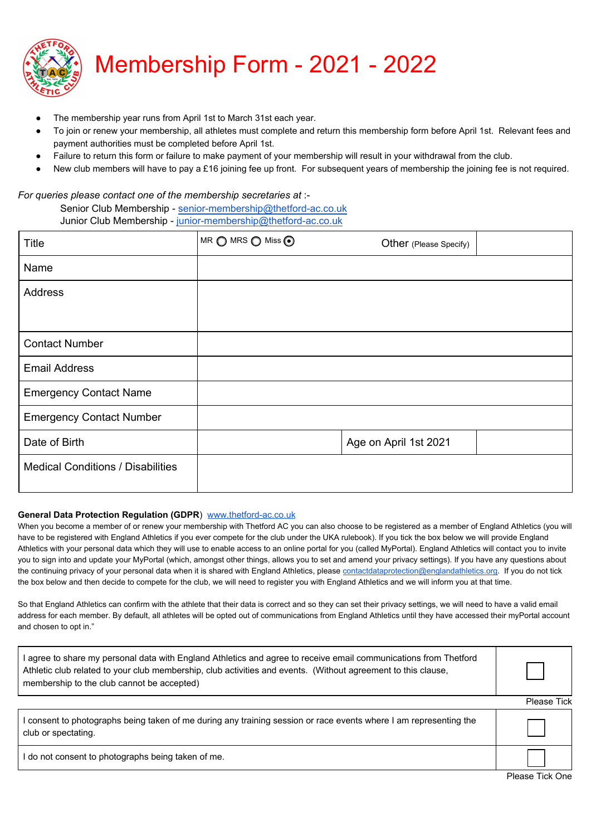

- The membership year runs from April 1st to March 31st each year.
- To join or renew your membership, all athletes must complete and return this membership form before April 1st. Relevant fees and payment authorities must be completed before April 1st.
- Failure to return this form or failure to make payment of your membership will result in your withdrawal from the club.
- New club members will have to pay a £16 joining fee up front. For subsequent years of membership the joining fee is not required.

## *For queries please contact one of the membership secretaries at* :-

Senior Club Membership - senior-membership[@thetford-ac.co.uk](mailto:seniors@thetford-ac.co.uk) Junior Club Membership - junior-membership[@thetford-ac.co.uk](mailto:juniors@thetford-ac.co.uk)

| <b>Title</b>                             | MR O MRS O Miss O | Other (Please Specify) |  |
|------------------------------------------|-------------------|------------------------|--|
| Name                                     |                   |                        |  |
| Address                                  |                   |                        |  |
|                                          |                   |                        |  |
| <b>Contact Number</b>                    |                   |                        |  |
| <b>Email Address</b>                     |                   |                        |  |
| <b>Emergency Contact Name</b>            |                   |                        |  |
| <b>Emergency Contact Number</b>          |                   |                        |  |
| Date of Birth                            |                   | Age on April 1st 2021  |  |
| <b>Medical Conditions / Disabilities</b> |                   |                        |  |

## **General Data Protection Regulation (GDPR**) [www.thetford-ac.co.uk](http://www.thetford-ac.co.uk/?page_id=743)

When you become a member of or renew your membership with Thetford AC you can also choose to be registered as a member of England Athletics (you will have to be registered with England Athletics if you ever compete for the club under the UKA rulebook). If you tick the box below we will provide England Athletics with your personal data which they will use to enable access to an online portal for you (called MyPortal). England Athletics will contact you to invite you to sign into and update your MyPortal (which, amongst other things, allows you to set and amend your privacy settings). If you have any questions about the continuing privacy of your personal data when it is shared with England Athletics, please [contactdataprotection@englandathletics.org.](mailto:contactdataprotection@englandathletics.org) If you do not tick the box below and then decide to compete for the club, we will need to register you with England Athletics and we will inform you at that time.

So that England Athletics can confirm with the athlete that their data is correct and so they can set their privacy settings, we will need to have a valid email address for each member. By default, all athletes will be opted out of communications from England Athletics until they have accessed their myPortal account and chosen to opt in."

| I agree to share my personal data with England Athletics and agree to receive email communications from Thetford<br>Athletic club related to your club membership, club activities and events. (Without agreement to this clause,<br>membership to the club cannot be accepted) |             |
|---------------------------------------------------------------------------------------------------------------------------------------------------------------------------------------------------------------------------------------------------------------------------------|-------------|
|                                                                                                                                                                                                                                                                                 | Please Tick |
| I consent to photographs being taken of me during any training session or race events where I am representing the<br>club or spectating.                                                                                                                                        |             |

I do not consent to photographs being taken of me.

Please Tick One